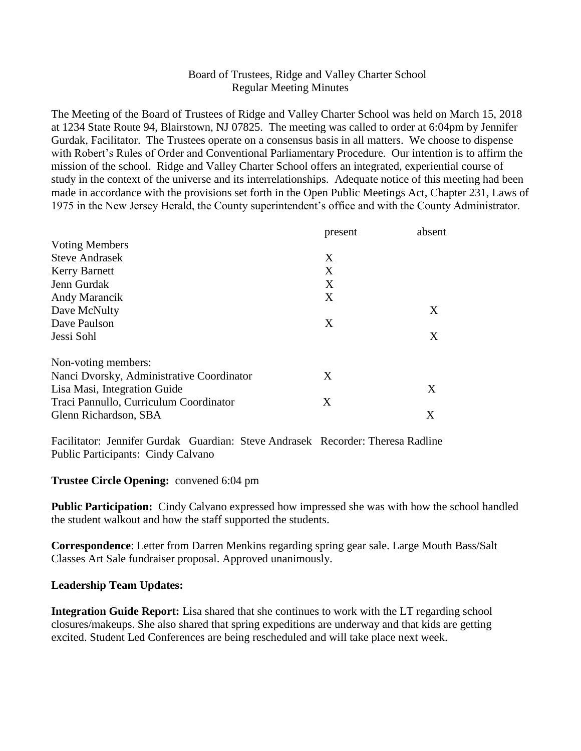## Board of Trustees, Ridge and Valley Charter School Regular Meeting Minutes

The Meeting of the Board of Trustees of Ridge and Valley Charter School was held on March 15, 2018 at 1234 State Route 94, Blairstown, NJ 07825. The meeting was called to order at 6:04pm by Jennifer Gurdak, Facilitator. The Trustees operate on a consensus basis in all matters. We choose to dispense with Robert's Rules of Order and Conventional Parliamentary Procedure. Our intention is to affirm the mission of the school. Ridge and Valley Charter School offers an integrated, experiential course of study in the context of the universe and its interrelationships. Adequate notice of this meeting had been made in accordance with the provisions set forth in the Open Public Meetings Act, Chapter 231, Laws of 1975 in the New Jersey Herald, the County superintendent's office and with the County Administrator.

|                                           | present | absent |
|-------------------------------------------|---------|--------|
| <b>Voting Members</b>                     |         |        |
| <b>Steve Andrasek</b>                     | X       |        |
| <b>Kerry Barnett</b>                      | X       |        |
| Jenn Gurdak                               | X       |        |
| Andy Marancik                             | X       |        |
| Dave McNulty                              |         | X      |
| Dave Paulson                              | X       |        |
| Jessi Sohl                                |         | X      |
| Non-voting members:                       |         |        |
| Nanci Dvorsky, Administrative Coordinator | X       |        |
| Lisa Masi, Integration Guide              |         | X      |
| Traci Pannullo, Curriculum Coordinator    | X       |        |
| Glenn Richardson, SBA                     |         | X      |

Facilitator: Jennifer Gurdak Guardian: Steve Andrasek Recorder: Theresa Radline Public Participants: Cindy Calvano

### **Trustee Circle Opening:** convened 6:04 pm

**Public Participation:** Cindy Calvano expressed how impressed she was with how the school handled the student walkout and how the staff supported the students.

**Correspondence**: Letter from Darren Menkins regarding spring gear sale. Large Mouth Bass/Salt Classes Art Sale fundraiser proposal. Approved unanimously.

#### **Leadership Team Updates:**

**Integration Guide Report:** Lisa shared that she continues to work with the LT regarding school closures/makeups. She also shared that spring expeditions are underway and that kids are getting excited. Student Led Conferences are being rescheduled and will take place next week.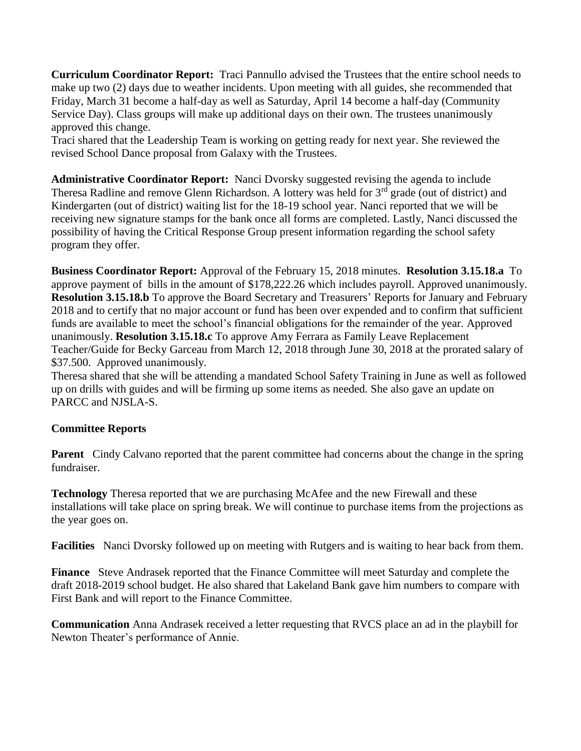**Curriculum Coordinator Report:** Traci Pannullo advised the Trustees that the entire school needs to make up two (2) days due to weather incidents. Upon meeting with all guides, she recommended that Friday, March 31 become a half-day as well as Saturday, April 14 become a half-day (Community Service Day). Class groups will make up additional days on their own. The trustees unanimously approved this change.

Traci shared that the Leadership Team is working on getting ready for next year. She reviewed the revised School Dance proposal from Galaxy with the Trustees.

**Administrative Coordinator Report:** Nanci Dvorsky suggested revising the agenda to include Theresa Radline and remove Glenn Richardson. A lottery was held for 3<sup>rd</sup> grade (out of district) and Kindergarten (out of district) waiting list for the 18-19 school year. Nanci reported that we will be receiving new signature stamps for the bank once all forms are completed. Lastly, Nanci discussed the possibility of having the Critical Response Group present information regarding the school safety program they offer.

**Business Coordinator Report:** Approval of the February 15, 2018 minutes. **Resolution 3.15.18.a** To approve payment of bills in the amount of \$178,222.26 which includes payroll. Approved unanimously. **Resolution 3.15.18.b** To approve the Board Secretary and Treasurers' Reports for January and February 2018 and to certify that no major account or fund has been over expended and to confirm that sufficient funds are available to meet the school's financial obligations for the remainder of the year. Approved unanimously. **Resolution 3.15.18.c** To approve Amy Ferrara as Family Leave Replacement Teacher/Guide for Becky Garceau from March 12, 2018 through June 30, 2018 at the prorated salary of \$37.500. Approved unanimously.

Theresa shared that she will be attending a mandated School Safety Training in June as well as followed up on drills with guides and will be firming up some items as needed. She also gave an update on PARCC and NJSLA-S.

# **Committee Reports**

**Parent** Cindy Calvano reported that the parent committee had concerns about the change in the spring fundraiser.

**Technology** Theresa reported that we are purchasing McAfee and the new Firewall and these installations will take place on spring break. We will continue to purchase items from the projections as the year goes on.

**Facilities** Nanci Dvorsky followed up on meeting with Rutgers and is waiting to hear back from them.

**Finance** Steve Andrasek reported that the Finance Committee will meet Saturday and complete the draft 2018-2019 school budget. He also shared that Lakeland Bank gave him numbers to compare with First Bank and will report to the Finance Committee.

**Communication** Anna Andrasek received a letter requesting that RVCS place an ad in the playbill for Newton Theater's performance of Annie.